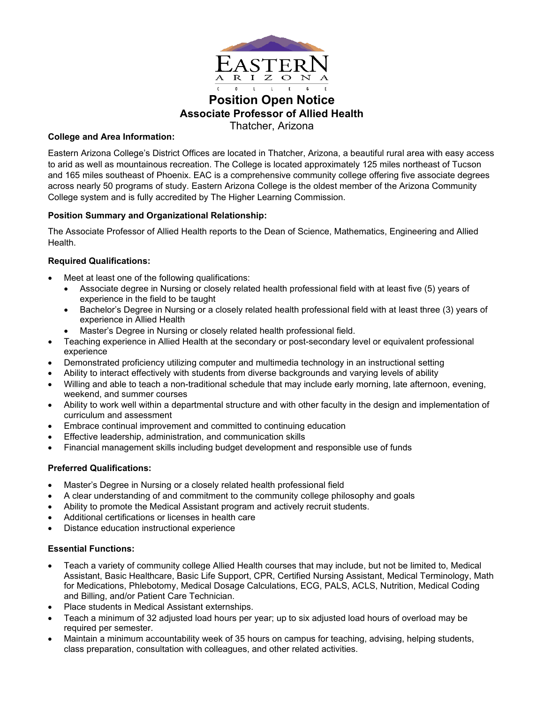

# **Position Open Notice Associate Professor of Allied Health** Thatcher, Arizona

## **College and Area Information:**

Eastern Arizona College's District Offices are located in Thatcher, Arizona, a beautiful rural area with easy access to arid as well as mountainous recreation. The College is located approximately 125 miles northeast of Tucson and 165 miles southeast of Phoenix. EAC is a comprehensive community college offering five associate degrees across nearly 50 programs of study. Eastern Arizona College is the oldest member of the Arizona Community College system and is fully accredited by The Higher Learning Commission.

## **Position Summary and Organizational Relationship:**

The Associate Professor of Allied Health reports to the Dean of Science, Mathematics, Engineering and Allied Health.

## **Required Qualifications:**

- Meet at least one of the following qualifications:
	- Associate degree in Nursing or closely related health professional field with at least five (5) years of experience in the field to be taught
	- Bachelor's Degree in Nursing or a closely related health professional field with at least three (3) years of experience in Allied Health
	- Master's Degree in Nursing or closely related health professional field.
- Teaching experience in Allied Health at the secondary or post-secondary level or equivalent professional experience
- Demonstrated proficiency utilizing computer and multimedia technology in an instructional setting
- Ability to interact effectively with students from diverse backgrounds and varying levels of ability
- Willing and able to teach a non-traditional schedule that may include early morning, late afternoon, evening, weekend, and summer courses
- Ability to work well within a departmental structure and with other faculty in the design and implementation of curriculum and assessment
- Embrace continual improvement and committed to continuing education
- Effective leadership, administration, and communication skills
- Financial management skills including budget development and responsible use of funds

## **Preferred Qualifications:**

- Master's Degree in Nursing or a closely related health professional field
- A clear understanding of and commitment to the community college philosophy and goals
- Ability to promote the Medical Assistant program and actively recruit students.
- Additional certifications or licenses in health care
- Distance education instructional experience

## **Essential Functions:**

- Teach a variety of community college Allied Health courses that may include, but not be limited to, Medical Assistant, Basic Healthcare, Basic Life Support, CPR, Certified Nursing Assistant, Medical Terminology, Math for Medications, Phlebotomy, Medical Dosage Calculations, ECG, PALS, ACLS, Nutrition, Medical Coding and Billing, and/or Patient Care Technician.
- Place students in Medical Assistant externships.
- Teach a minimum of 32 adjusted load hours per year; up to six adjusted load hours of overload may be required per semester.
- Maintain a minimum accountability week of 35 hours on campus for teaching, advising, helping students, class preparation, consultation with colleagues, and other related activities.